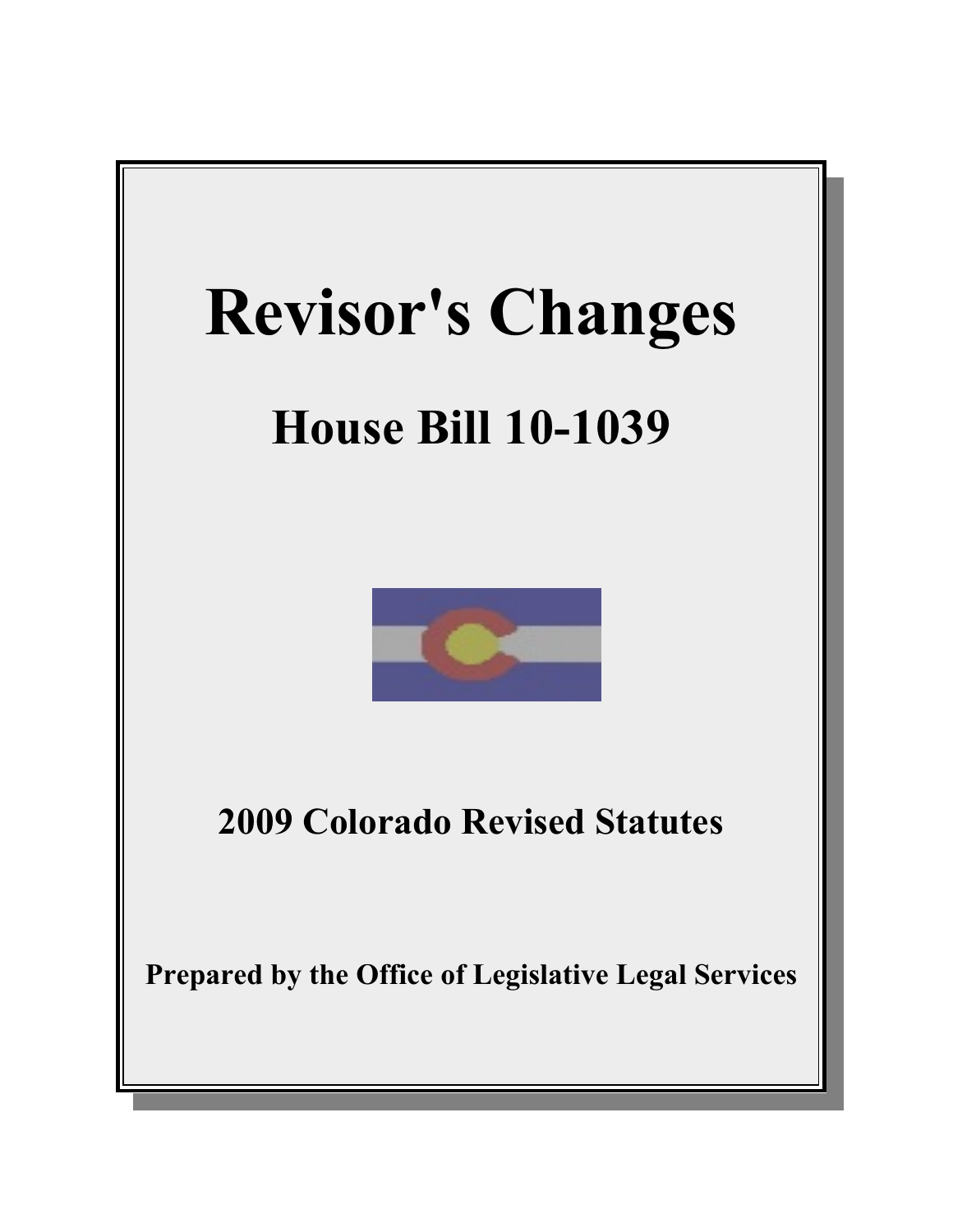

# **House Bill 10-1039**



**2009 Colorado Revised Statutes**

**Prepared by the Office of Legislative Legal Services**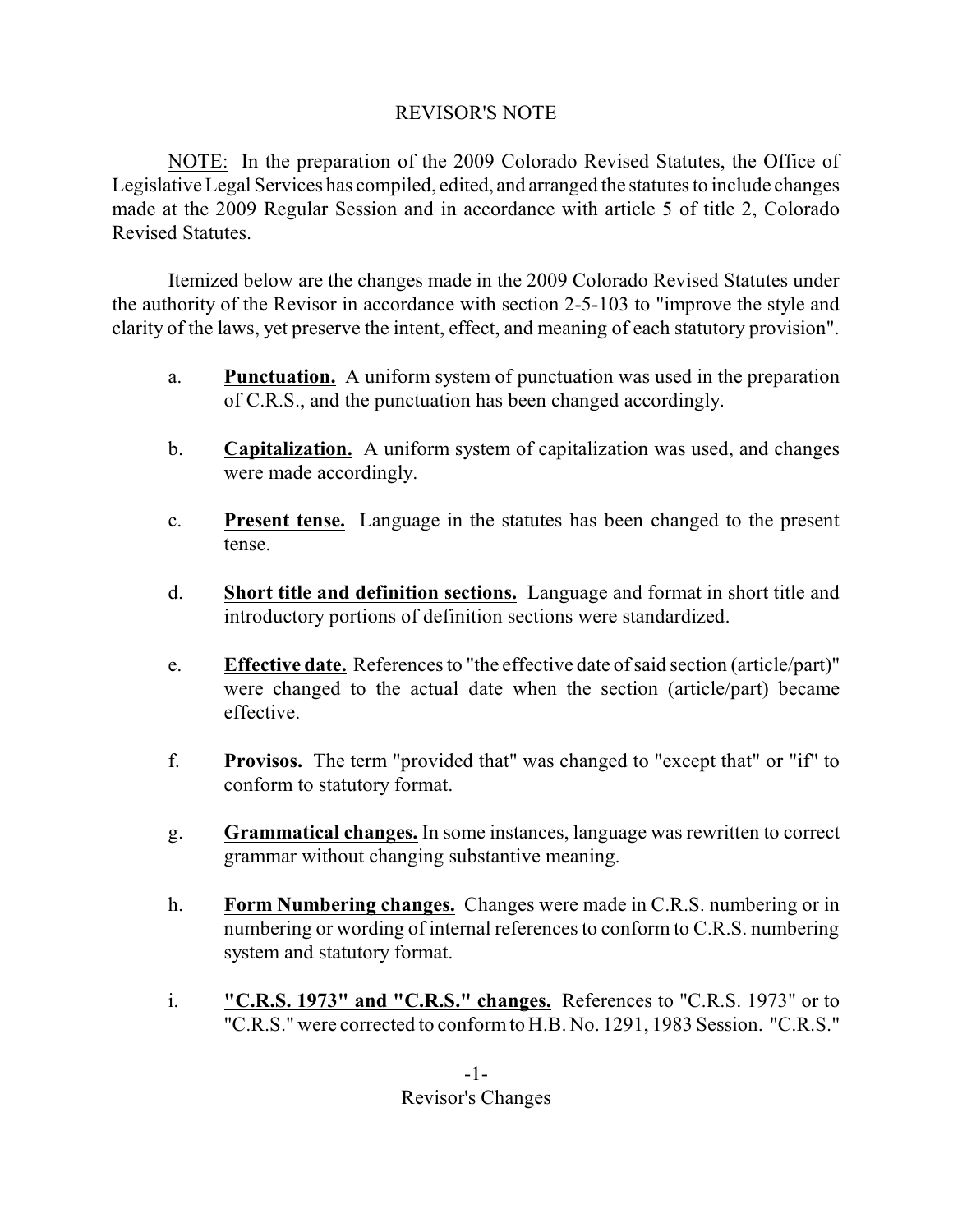# REVISOR'S NOTE

NOTE: In the preparation of the 2009 Colorado Revised Statutes, the Office of Legislative Legal Services has compiled, edited, and arranged the statutes to include changes made at the 2009 Regular Session and in accordance with article 5 of title 2, Colorado Revised Statutes.

Itemized below are the changes made in the 2009 Colorado Revised Statutes under the authority of the Revisor in accordance with section 2-5-103 to "improve the style and clarity of the laws, yet preserve the intent, effect, and meaning of each statutory provision".

- a. **Punctuation.** A uniform system of punctuation was used in the preparation of C.R.S., and the punctuation has been changed accordingly.
- b. **Capitalization.** A uniform system of capitalization was used, and changes were made accordingly.
- c. **Present tense.** Language in the statutes has been changed to the present tense.
- d. **Short title and definition sections.** Language and format in short title and introductory portions of definition sections were standardized.
- e. **Effective date.** References to "the effective date ofsaid section (article/part)" were changed to the actual date when the section (article/part) became effective.
- f. **Provisos.** The term "provided that" was changed to "except that" or "if" to conform to statutory format.
- g. **Grammatical changes.** In some instances, language was rewritten to correct grammar without changing substantive meaning.
- h. **Form Numbering changes.** Changes were made in C.R.S. numbering or in numbering or wording of internal references to conform to C.R.S. numbering system and statutory format.
- i. **"C.R.S. 1973" and "C.R.S." changes.** References to "C.R.S. 1973" or to "C.R.S." were corrected to conformto H.B. No. 1291, 1983 Session. "C.R.S."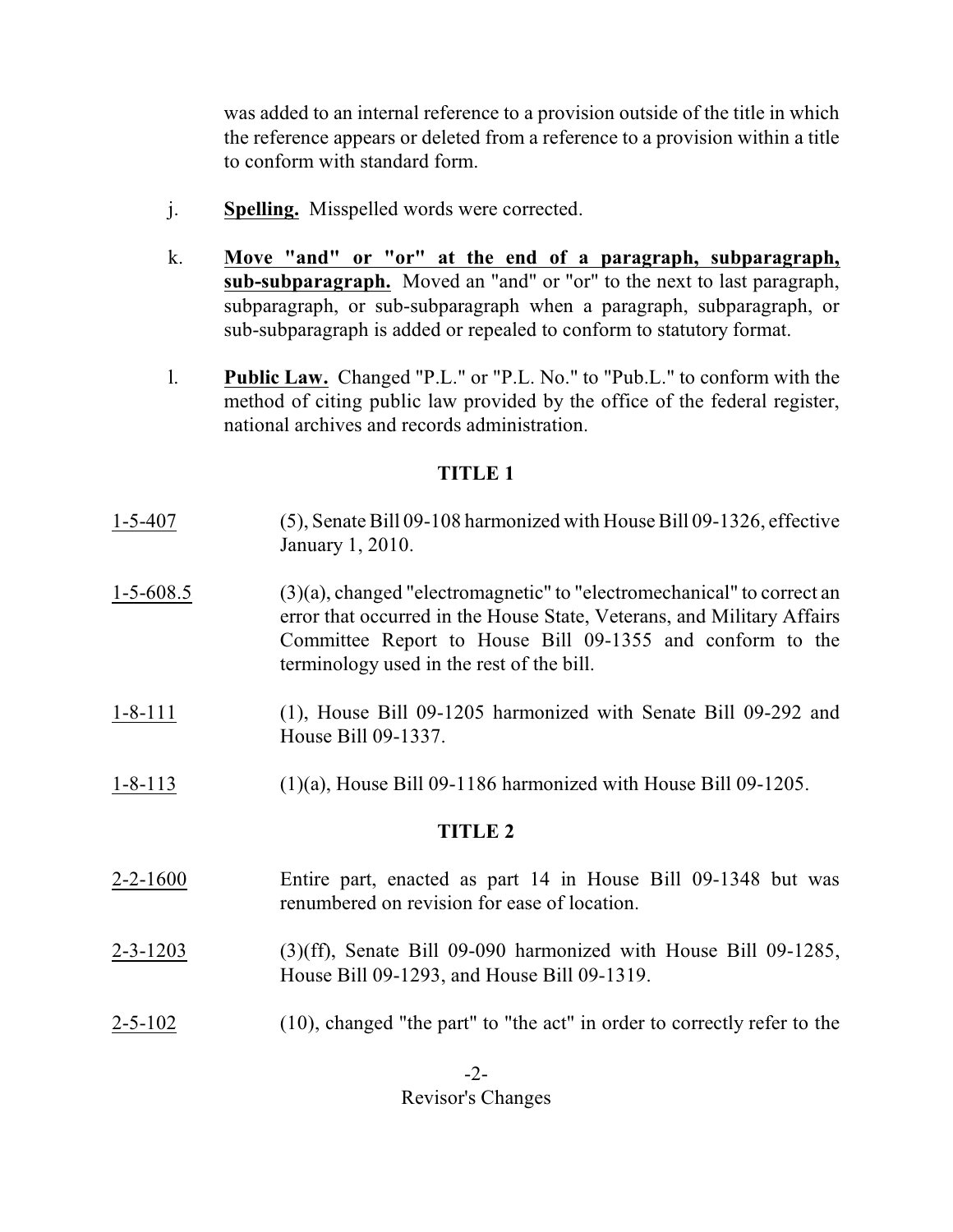was added to an internal reference to a provision outside of the title in which the reference appears or deleted from a reference to a provision within a title to conform with standard form.

- j. **Spelling.** Misspelled words were corrected.
- k. **Move "and" or "or" at the end of a paragraph, subparagraph, sub-subparagraph.** Moved an "and" or "or" to the next to last paragraph, subparagraph, or sub-subparagraph when a paragraph, subparagraph, or sub-subparagraph is added or repealed to conform to statutory format.
- l. **Public Law.** Changed "P.L." or "P.L. No." to "Pub.L." to conform with the method of citing public law provided by the office of the federal register, national archives and records administration.

## **TITLE 1**

- 1-5-407 (5), Senate Bill 09-108 harmonized with House Bill 09-1326, effective January 1, 2010.
- 1-5-608.5 (3)(a), changed "electromagnetic" to "electromechanical" to correct an error that occurred in the House State, Veterans, and Military Affairs Committee Report to House Bill 09-1355 and conform to the terminology used in the rest of the bill.
- 1-8-111 (1), House Bill 09-1205 harmonized with Senate Bill 09-292 and House Bill 09-1337.
- 1-8-113 (1)(a), House Bill 09-1186 harmonized with House Bill 09-1205.

## **TITLE 2**

- 2-2-1600 Entire part, enacted as part 14 in House Bill 09-1348 but was renumbered on revision for ease of location.
- 2-3-1203 (3)(ff), Senate Bill 09-090 harmonized with House Bill 09-1285, House Bill 09-1293, and House Bill 09-1319.
- 2-5-102 (10), changed "the part" to "the act" in order to correctly refer to the

 $-2-$ Revisor's Changes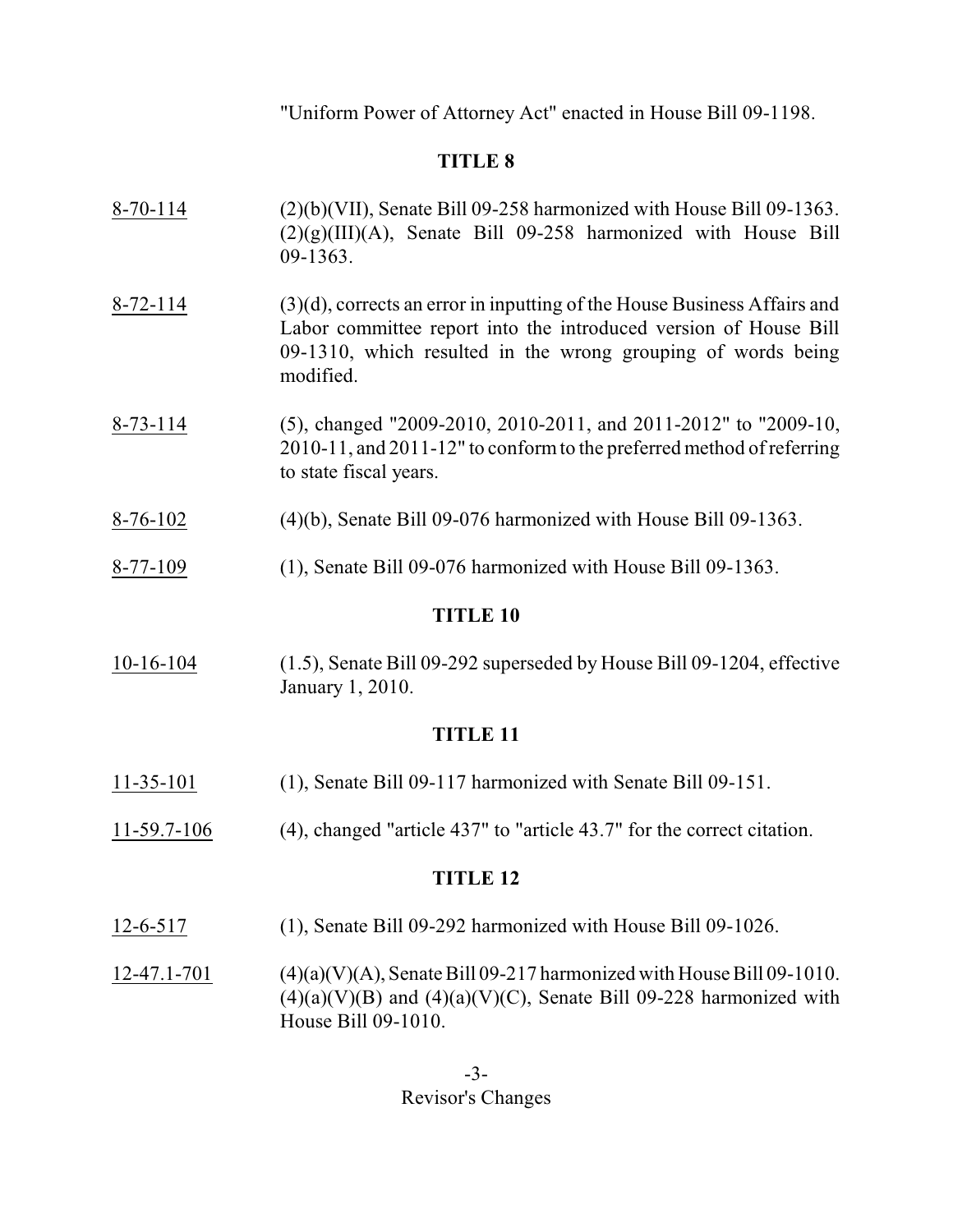"Uniform Power of Attorney Act" enacted in House Bill 09-1198.

# **TITLE 8**

| <b>TITLE 10</b><br>$(1, \zeta)$ , Consta D.11.00, 202 synamical devillence D.11.00, 1204, officially<br>10.16.104 |                                                                                                                                                                                                                              |  |
|-------------------------------------------------------------------------------------------------------------------|------------------------------------------------------------------------------------------------------------------------------------------------------------------------------------------------------------------------------|--|
| 8-77-109                                                                                                          | (1), Senate Bill 09-076 harmonized with House Bill 09-1363.                                                                                                                                                                  |  |
| $8-76-102$                                                                                                        | $(4)(b)$ , Senate Bill 09-076 harmonized with House Bill 09-1363.                                                                                                                                                            |  |
| $8 - 73 - 114$                                                                                                    | (5), changed "2009-2010, 2010-2011, and 2011-2012" to "2009-10,<br>2010-11, and 2011-12" to conform to the preferred method of referring<br>to state fiscal years.                                                           |  |
| $8 - 72 - 114$                                                                                                    | $(3)(d)$ , corrects an error in inputting of the House Business Affairs and<br>Labor committee report into the introduced version of House Bill<br>09-1310, which resulted in the wrong grouping of words being<br>modified. |  |
| $8-70-114$                                                                                                        | $(2)(b)(VII)$ , Senate Bill 09-258 harmonized with House Bill 09-1363.<br>$(2)(g)(III)(A)$ , Senate Bill 09-258 harmonized with House Bill<br>$09-1363.$                                                                     |  |

 $10-16-104$  (1.5), Senate Bill 09-292 superseded by House Bill 09-1204, effective January 1, 2010.

# **TITLE 11**

- 11-35-101 (1), Senate Bill 09-117 harmonized with Senate Bill 09-151.
- 11-59.7-106 (4), changed "article 437" to "article 43.7" for the correct citation.

- 12-6-517 (1), Senate Bill 09-292 harmonized with House Bill 09-1026.
- 12-47.1-701 (4)(a)(V)(A), Senate Bill 09-217 harmonized with House Bill 09-1010.  $(4)(a)(V)(B)$  and  $(4)(a)(V)(C)$ , Senate Bill 09-228 harmonized with House Bill 09-1010.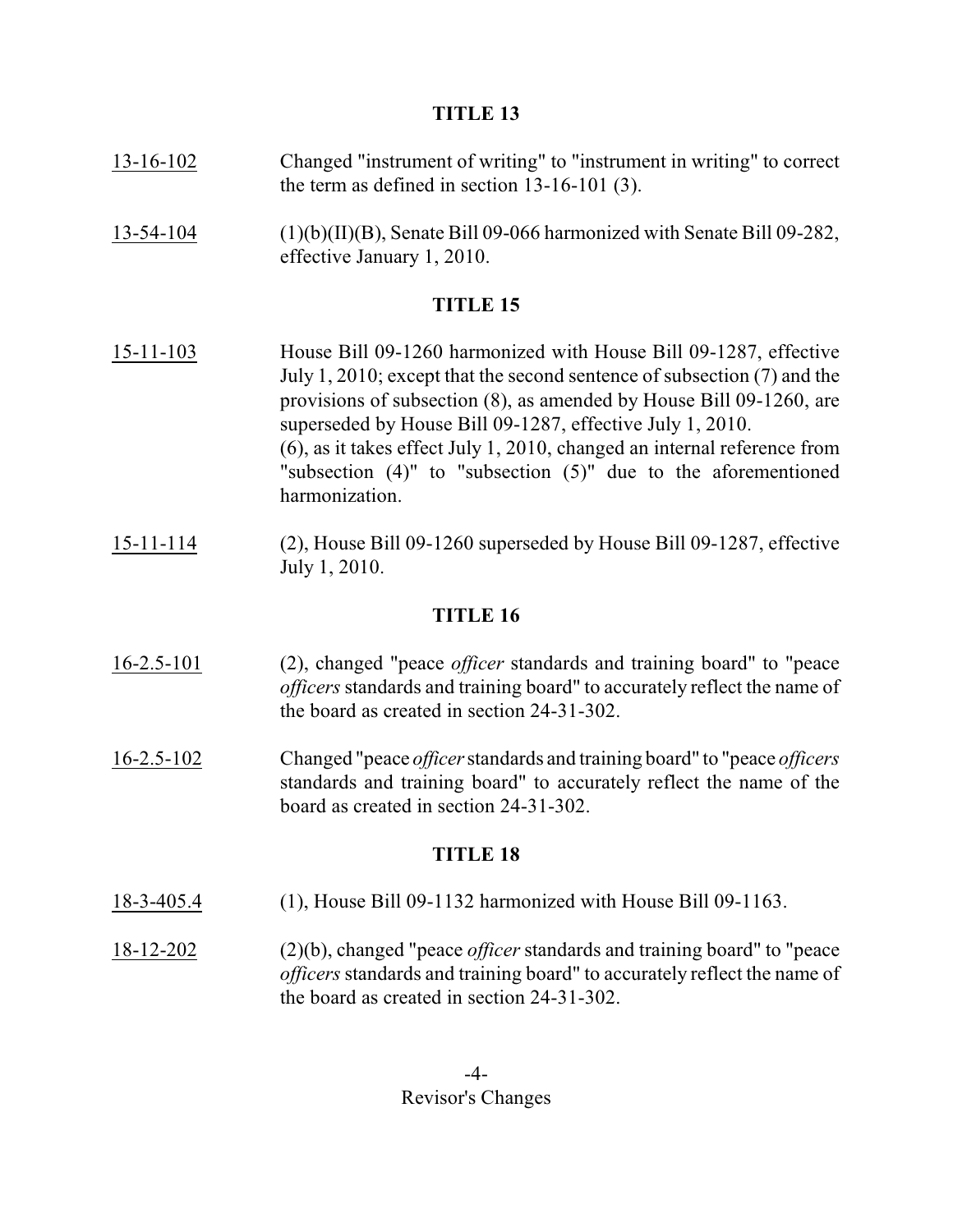- 13-16-102 Changed "instrument of writing" to "instrument in writing" to correct the term as defined in section 13-16-101 (3).
- 13-54-104 (1)(b)(II)(B), Senate Bill 09-066 harmonized with Senate Bill 09-282, effective January 1, 2010.

# **TITLE 15**

- 15-11-103 House Bill 09-1260 harmonized with House Bill 09-1287, effective July 1, 2010; except that the second sentence of subsection (7) and the provisions of subsection (8), as amended by House Bill 09-1260, are superseded by House Bill 09-1287, effective July 1, 2010. (6), as it takes effect July 1, 2010, changed an internal reference from "subsection (4)" to "subsection (5)" due to the aforementioned harmonization.
- 15-11-114 (2), House Bill 09-1260 superseded by House Bill 09-1287, effective July 1, 2010.

## **TITLE 16**

- 16-2.5-101 (2), changed "peace *officer* standards and training board" to "peace *officers*standards and training board" to accurately reflect the name of the board as created in section 24-31-302.
- 16-2.5-102 Changed "peace *officer*standards and training board" to "peace *officers* standards and training board" to accurately reflect the name of the board as created in section 24-31-302.

- 18-3-405.4 (1), House Bill 09-1132 harmonized with House Bill 09-1163.
- 18-12-202 (2)(b), changed "peace *officer* standards and training board" to "peace *officers*standards and training board" to accurately reflect the name of the board as created in section 24-31-302.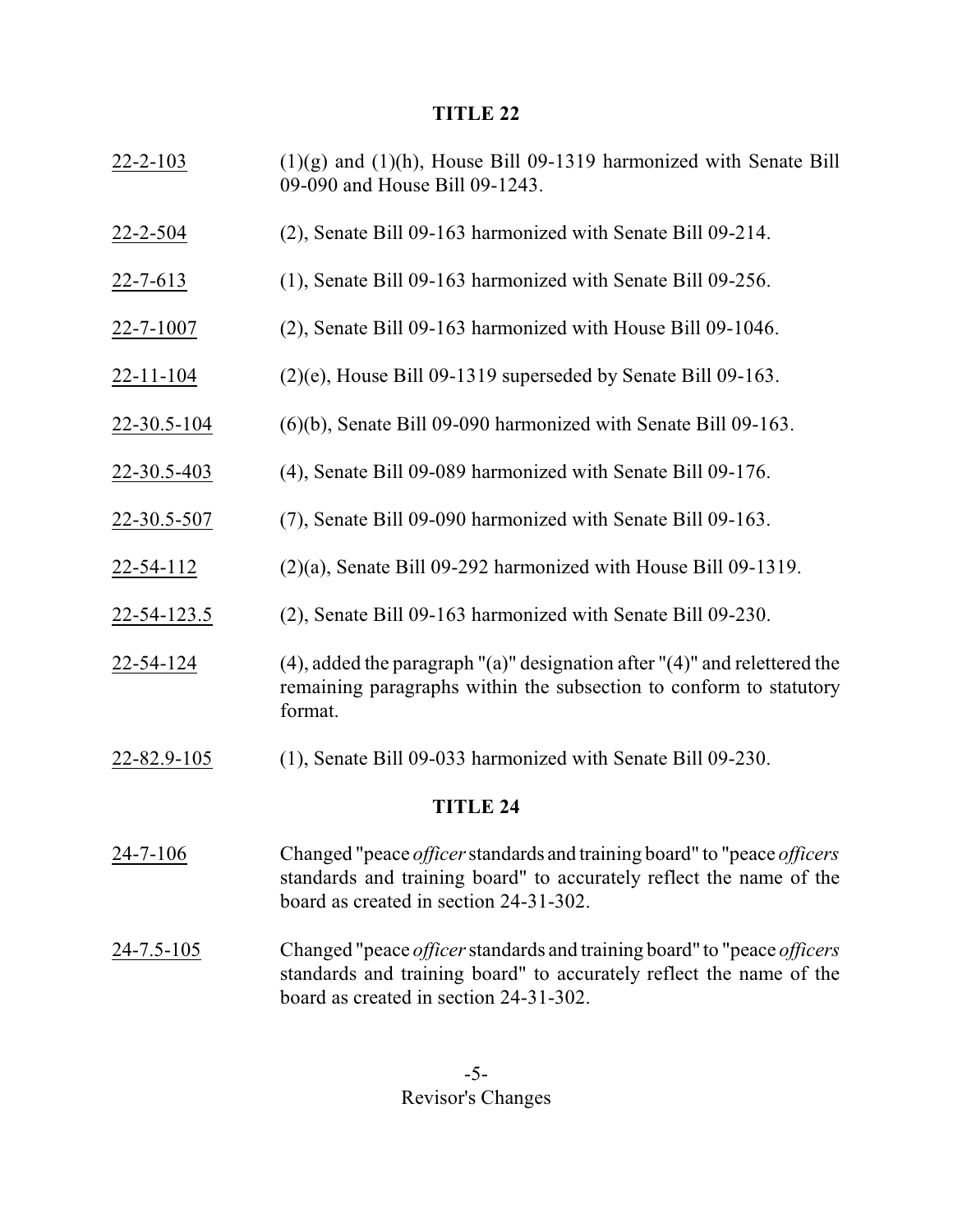- 22-2-103 (1)(g) and (1)(h), House Bill 09-1319 harmonized with Senate Bill 09-090 and House Bill 09-1243.
- 22-2-504 (2), Senate Bill 09-163 harmonized with Senate Bill 09-214.
- 22-7-613 (1), Senate Bill 09-163 harmonized with Senate Bill 09-256.
- 22-7-1007 (2), Senate Bill 09-163 harmonized with House Bill 09-1046.
- 22-11-104 (2)(e), House Bill 09-1319 superseded by Senate Bill 09-163.
- 22-30.5-104 (6)(b), Senate Bill 09-090 harmonized with Senate Bill 09-163.
- 22-30.5-403 (4), Senate Bill 09-089 harmonized with Senate Bill 09-176.
- 22-30.5-507 (7), Senate Bill 09-090 harmonized with Senate Bill 09-163.
- 22-54-112 (2)(a), Senate Bill 09-292 harmonized with House Bill 09-1319.
- 22-54-123.5 (2), Senate Bill 09-163 harmonized with Senate Bill 09-230.
- 22-54-124 (4), added the paragraph "(a)" designation after "(4)" and relettered the remaining paragraphs within the subsection to conform to statutory format.
- 22-82.9-105 (1), Senate Bill 09-033 harmonized with Senate Bill 09-230.

- 24-7-106 Changed "peace *officer*standards and training board" to "peace *officers* standards and training board" to accurately reflect the name of the board as created in section 24-31-302.
- 24-7.5-105 Changed "peace *officer*standards and training board" to "peace *officers* standards and training board" to accurately reflect the name of the board as created in section 24-31-302.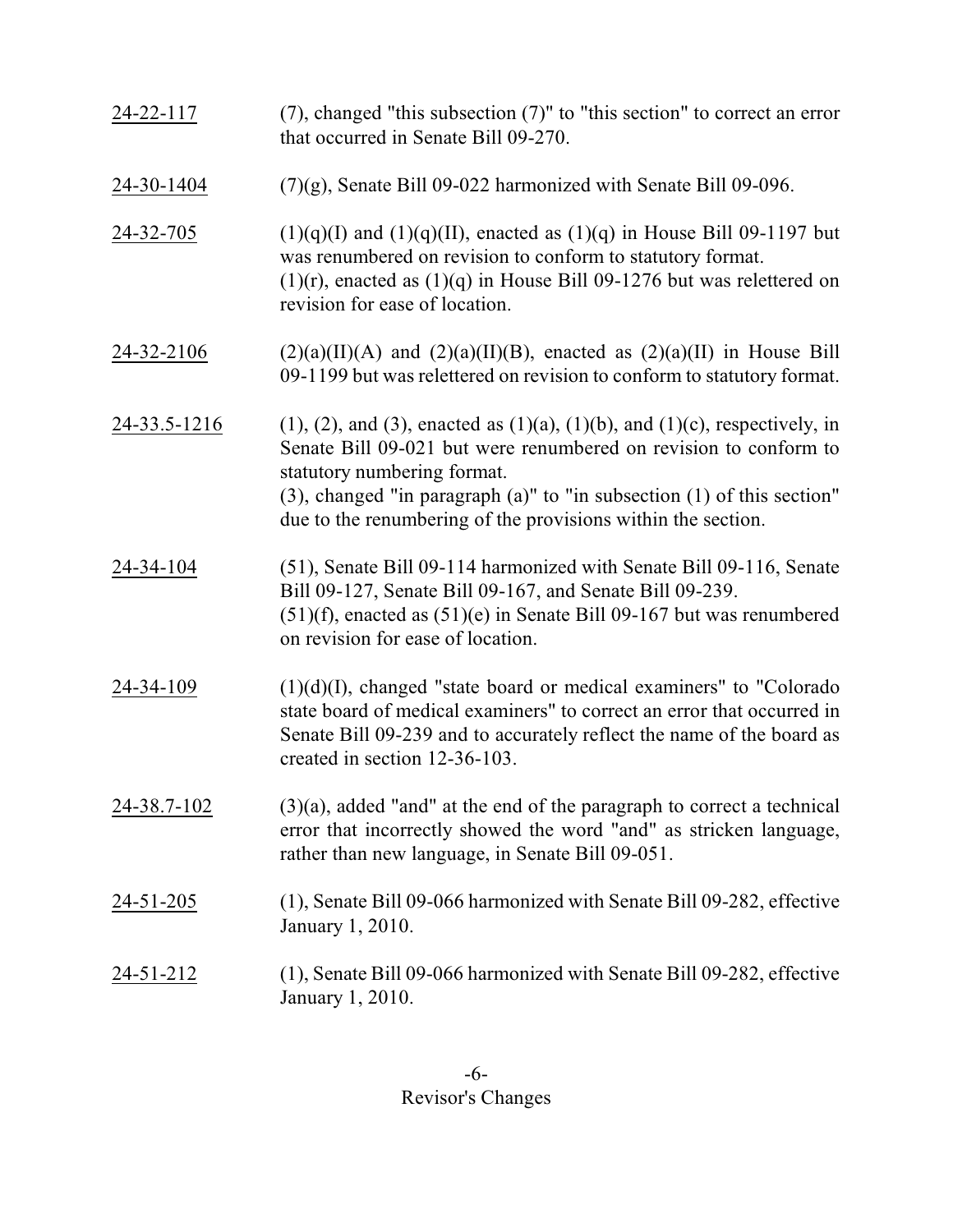| 24-22-117        | $(7)$ , changed "this subsection $(7)$ " to "this section" to correct an error<br>that occurred in Senate Bill 09-270.                                                                                                                                                                                                                            |
|------------------|---------------------------------------------------------------------------------------------------------------------------------------------------------------------------------------------------------------------------------------------------------------------------------------------------------------------------------------------------|
| 24-30-1404       | $(7)(g)$ , Senate Bill 09-022 harmonized with Senate Bill 09-096.                                                                                                                                                                                                                                                                                 |
| 24-32-705        | $(1)(q)(I)$ and $(1)(q)(II)$ , enacted as $(1)(q)$ in House Bill 09-1197 but<br>was renumbered on revision to conform to statutory format.<br>$(1)(r)$ , enacted as $(1)(q)$ in House Bill 09-1276 but was relettered on<br>revision for ease of location.                                                                                        |
| 24-32-2106       | $(2)(a)(II)(A)$ and $(2)(a)(II)(B)$ , enacted as $(2)(a)(II)$ in House Bill<br>09-1199 but was relettered on revision to conform to statutory format.                                                                                                                                                                                             |
| 24-33.5-1216     | $(1)$ , $(2)$ , and $(3)$ , enacted as $(1)(a)$ , $(1)(b)$ , and $(1)(c)$ , respectively, in<br>Senate Bill 09-021 but were renumbered on revision to conform to<br>statutory numbering format.<br>$(3)$ , changed "in paragraph $(a)$ " to "in subsection $(1)$ of this section"<br>due to the renumbering of the provisions within the section. |
| 24-34-104        | (51), Senate Bill 09-114 harmonized with Senate Bill 09-116, Senate<br>Bill 09-127, Senate Bill 09-167, and Senate Bill 09-239.<br>$(51)(f)$ , enacted as $(51)(e)$ in Senate Bill 09-167 but was renumbered<br>on revision for ease of location.                                                                                                 |
| 24-34-109        | $(1)(d)(I)$ , changed "state board or medical examiners" to "Colorado"<br>state board of medical examiners" to correct an error that occurred in<br>Senate Bill 09-239 and to accurately reflect the name of the board as<br>created in section 12-36-103.                                                                                        |
| 24-38.7-102      | $(3)(a)$ , added "and" at the end of the paragraph to correct a technical<br>error that incorrectly showed the word "and" as stricken language,<br>rather than new language, in Senate Bill 09-051.                                                                                                                                               |
| 24-51-205        | (1), Senate Bill 09-066 harmonized with Senate Bill 09-282, effective<br>January 1, 2010.                                                                                                                                                                                                                                                         |
| <u>24-51-212</u> | (1), Senate Bill 09-066 harmonized with Senate Bill 09-282, effective<br>January 1, 2010.                                                                                                                                                                                                                                                         |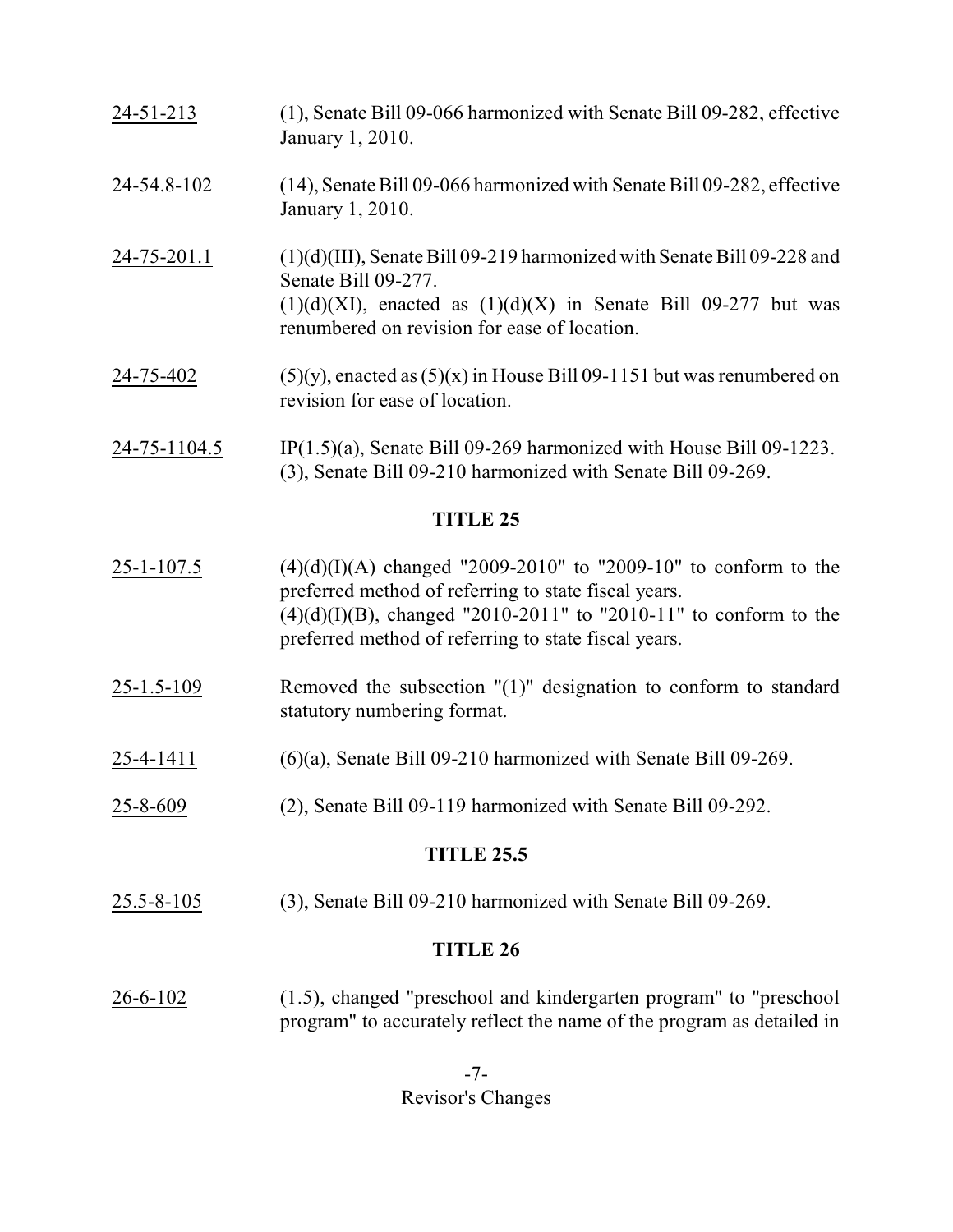| $24 - 51 - 213$ | (1), Senate Bill 09-066 harmonized with Senate Bill 09-282, effective<br>January 1, 2010.                                                                                                                               |
|-----------------|-------------------------------------------------------------------------------------------------------------------------------------------------------------------------------------------------------------------------|
| 24-54.8-102     | (14), Senate Bill 09-066 harmonized with Senate Bill 09-282, effective<br>January 1, 2010.                                                                                                                              |
| 24-75-201.1     | $(1)(d)(III)$ , Senate Bill 09-219 harmonized with Senate Bill 09-228 and<br>Senate Bill 09-277.<br>$(1)(d)(XI)$ , enacted as $(1)(d)(X)$ in Senate Bill 09-277 but was<br>renumbered on revision for ease of location. |
| 24-75-402       | $(5)(y)$ , enacted as $(5)(x)$ in House Bill 09-1151 but was renumbered on<br>revision for ease of location.                                                                                                            |
| 24-75-1104.5    | $IP(1.5)$ (a), Senate Bill 09-269 harmonized with House Bill 09-1223.                                                                                                                                                   |

(3), Senate Bill 09-210 harmonized with Senate Bill 09-269.

- 25-1-107.5 (4)(d)(I)(A) changed "2009-2010" to "2009-10" to conform to the preferred method of referring to state fiscal years.  $(4)(d)(I)(B)$ , changed "2010-2011" to "2010-11" to conform to the preferred method of referring to state fiscal years.
- 25-1.5-109 Removed the subsection "(1)" designation to conform to standard statutory numbering format.
- $25-4-1411$  (6)(a), Senate Bill 09-210 harmonized with Senate Bill 09-269.
- 25-8-609 (2), Senate Bill 09-119 harmonized with Senate Bill 09-292.

#### **TITLE 25.5**

25.5-8-105 (3), Senate Bill 09-210 harmonized with Senate Bill 09-269.

#### **TITLE 26**

26-6-102 (1.5), changed "preschool and kindergarten program" to "preschool program" to accurately reflect the name of the program as detailed in

> -7- Revisor's Changes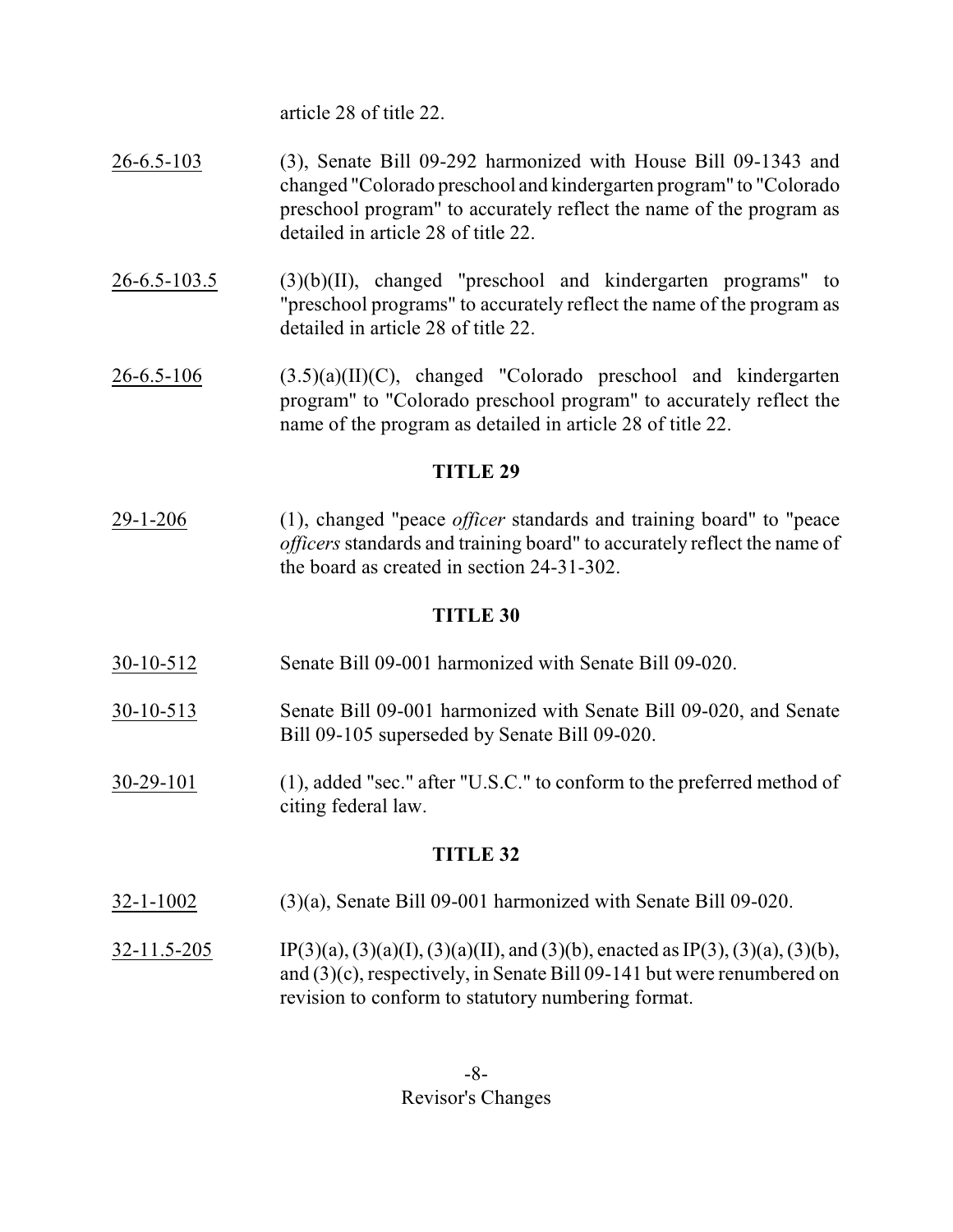article 28 of title 22.

- 26-6.5-103 (3), Senate Bill 09-292 harmonized with House Bill 09-1343 and changed "Colorado preschool and kindergarten program" to "Colorado preschool program" to accurately reflect the name of the program as detailed in article 28 of title 22.
- 26-6.5-103.5 (3)(b)(II), changed "preschool and kindergarten programs" to "preschool programs" to accurately reflect the name of the program as detailed in article 28 of title 22.
- $26-6.5-106$   $(3.5)(a)(II)(C)$ , changed "Colorado preschool and kindergarten program" to "Colorado preschool program" to accurately reflect the name of the program as detailed in article 28 of title 22.

## **TITLE 29**

29-1-206 (1), changed "peace *officer* standards and training board" to "peace *officers*standards and training board" to accurately reflect the name of the board as created in section 24-31-302.

## **TITLE 30**

- 30-10-512 Senate Bill 09-001 harmonized with Senate Bill 09-020.
- 30-10-513 Senate Bill 09-001 harmonized with Senate Bill 09-020, and Senate Bill 09-105 superseded by Senate Bill 09-020.
- 30-29-101 (1), added "sec." after "U.S.C." to conform to the preferred method of citing federal law.

- 32-1-1002 (3)(a), Senate Bill 09-001 harmonized with Senate Bill 09-020.
- 32-11.5-205 IP(3)(a), (3)(a)(I), (3)(a)(II), and (3)(b), enacted as IP(3), (3)(a), (3)(b), and (3)(c), respectively, in Senate Bill 09-141 but were renumbered on revision to conform to statutory numbering format.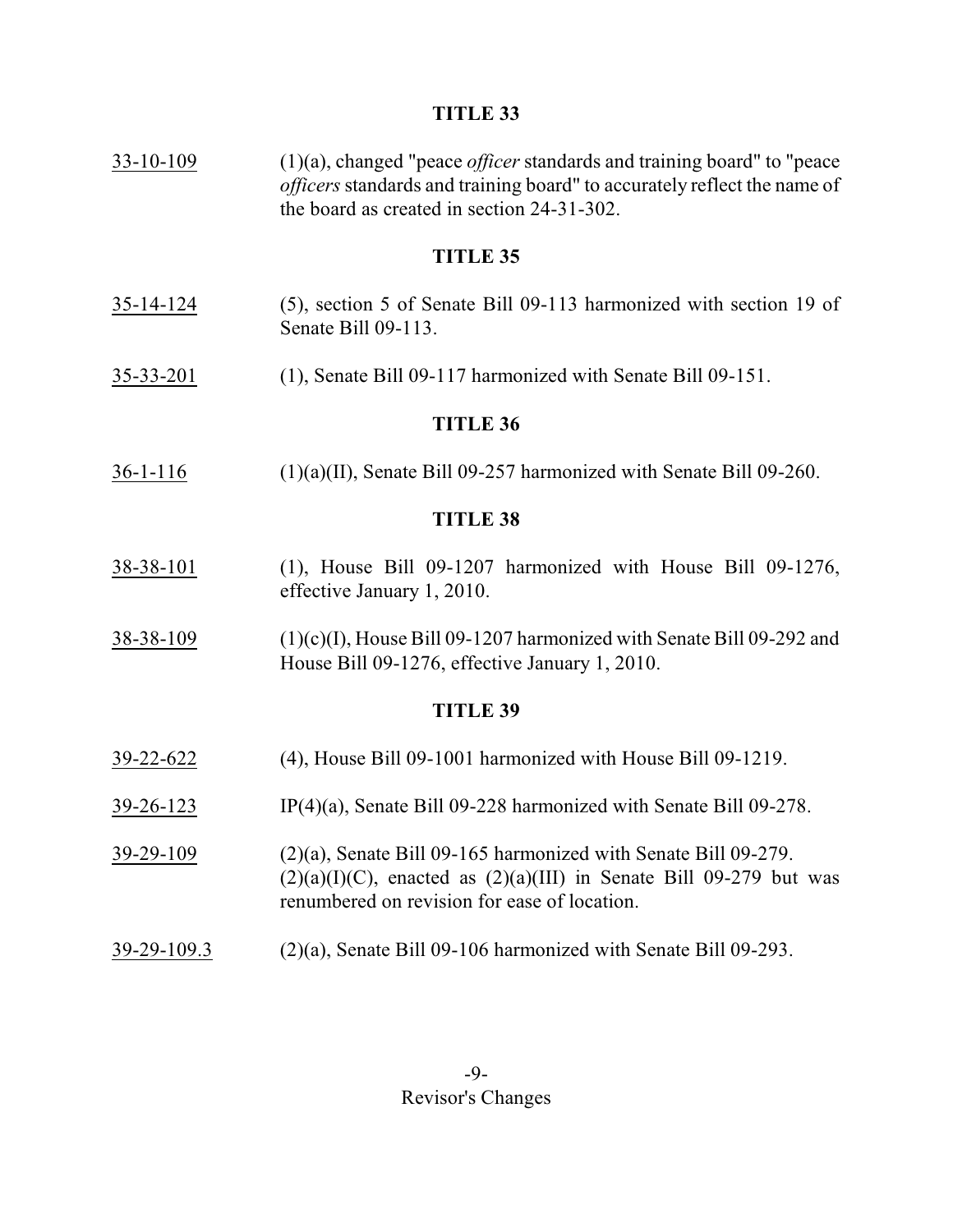33-10-109 (1)(a), changed "peace *officer* standards and training board" to "peace *officers*standards and training board" to accurately reflect the name of the board as created in section 24-31-302.

## **TITLE 35**

- 35-14-124 (5), section 5 of Senate Bill 09-113 harmonized with section 19 of Senate Bill 09-113.
- 35-33-201 (1), Senate Bill 09-117 harmonized with Senate Bill 09-151.

### **TITLE 36**

36-1-116 (1)(a)(II), Senate Bill 09-257 harmonized with Senate Bill 09-260.

#### **TITLE 38**

- 38-38-101 (1), House Bill 09-1207 harmonized with House Bill 09-1276, effective January 1, 2010.
- 38-38-109 (1)(c)(I), House Bill 09-1207 harmonized with Senate Bill 09-292 and House Bill 09-1276, effective January 1, 2010.

- 39-22-622 (4), House Bill 09-1001 harmonized with House Bill 09-1219.
- 39-26-123 IP(4)(a), Senate Bill 09-228 harmonized with Senate Bill 09-278.
- 39-29-109 (2)(a), Senate Bill 09-165 harmonized with Senate Bill 09-279.  $(2)(a)(I)(C)$ , enacted as  $(2)(a)(III)$  in Senate Bill 09-279 but was renumbered on revision for ease of location.
- 39-29-109.3 (2)(a), Senate Bill 09-106 harmonized with Senate Bill 09-293.